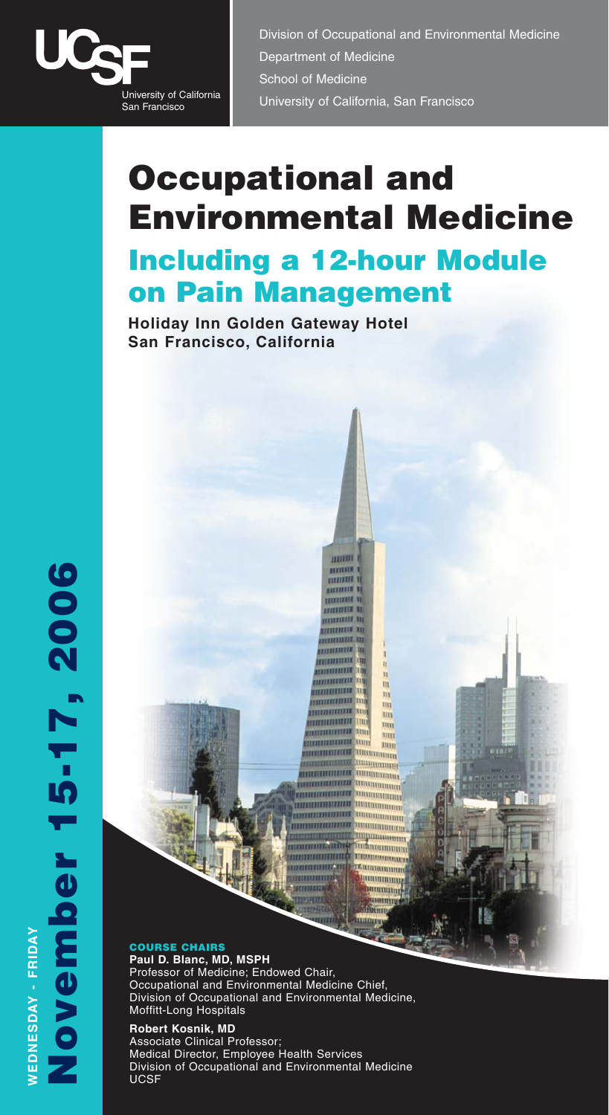

Division of Occupational and Environmental Medicine Department of Medicine School of Medicine University of California<br>San Francisco University of California, San Francisco

# **Occupational and Environmental Medicine Including a 12-hour Module on Pain Management**

muun

**BUILDER** <u>mmm</u> **MINIMA 11 HITTEER** ,,,,,,,,,, ,,,,,,,,,, **STAFFEES** TITIL **MANAGERITA HHHHHIII** 

**THURSET** 

1111111111111

,,,,,,,,,,

,,,,,,,,,,

,,,,,,,,,,,,,

H

Щ

m

нu

ш

lim lim

JIHH

WWWWWW

**MUHUMI** ummun

Ittts  $\overline{\text{min}}$ llinn

**Holiday Inn Golden Gateway Hotel San Francisco, California**

#### **COURSE CHAIRS Paul D. Blanc, MD, MSPH**

Professor of Medicine; Endowed Chair, Occupational and Environmental Medicine Chief, Division of Occupational and Environmental Medicine, Moffitt-Long Hospitals

**Robert Kosnik, MD** Associate Clinical Professor; Medical Director, Employee Health Services Division of Occupational and Environmental Medicine UCSF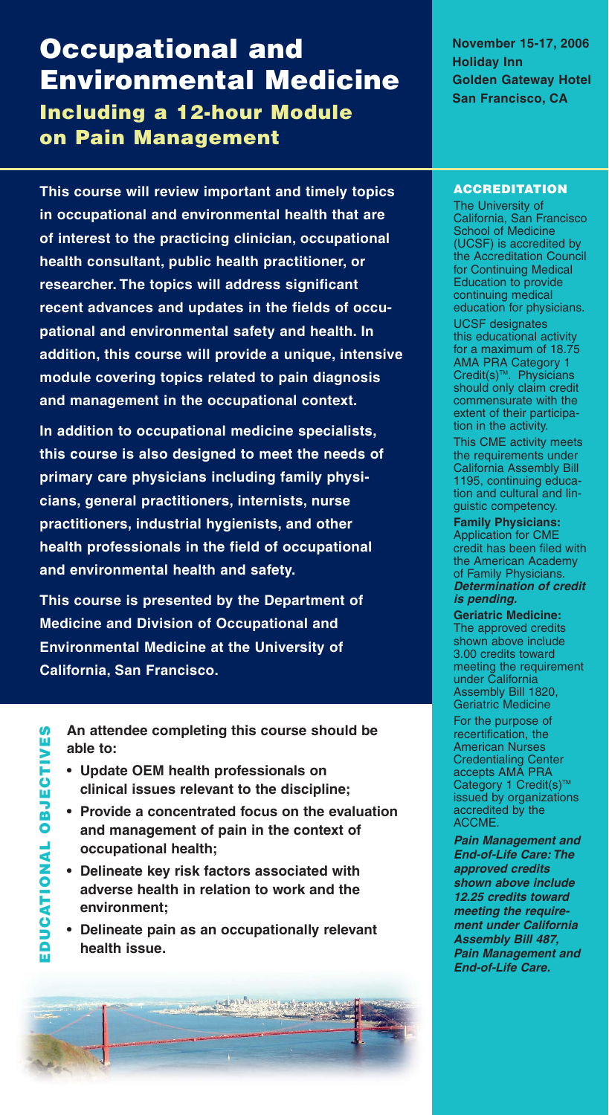### **Occupational and Environmental Medicine Including a 12-hour Module**

**on Pain Management**

**This course will review important and timely topics in occupational and environmental health that are of interest to the practicing clinician, occupational health consultant, public health practitioner, or researcher. The topics will address significant recent advances and updates in the fields of occupational and environmental safety and health. In addition, this course will provide a unique, intensive module covering topics related to pain diagnosis and management in the occupational context.**

**In addition to occupational medicine specialists, this course is also designed to meet the needs of primary care physicians including family physicians, general practitioners, internists, nurse practitioners, industrial hygienists, and other health professionals in the field of occupational and environmental health and safety.**

**This course is presented by the Department of Medicine and Division of Occupational and Environmental Medicine at the University of California, San Francisco.**

**An attendee completing this course should be able to:**

- **Update OEM health professionals on clinical issues relevant to the discipline;**
- **Provide a concentrated focus on the evaluation and management of pain in the context of occupational health;**
- **Delineate key risk factors associated with adverse health in relation to work and the environment;**
- **Delineate pain as an occupationally relevant health issue.**

Contact the States

**November 15-17, 2006 Holiday Inn Golden Gateway Hotel San Francisco, CA**

#### **ACCREDITATION**

The University of California, San Francisco School of Medicine (UCSF) is accredited by the Accreditation Council for Continuing Medical Education to provide continuing medical education for physicians.

UCSF designates this educational activity for a maximum of 18.75 AMA PRA Category 1 Credit(s)<sup>™</sup>. Physicians should only claim credit commensurate with the extent of their participation in the activity.

This CME activity meets the requirements under California Assembly Bill 1195, continuing education and cultural and linguistic competency.

**Family Physicians:** Application for CME credit has been filed with the American Academy of Family Physicians. **Determination of credit is pending.**

**Geriatric Medicine:** The approved credits shown above include 3.00 credits toward meeting the requirement under California Assembly Bill 1820, Geriatric Medicine

For the purpose of recertification, the American Nurses Credentialing Center accepts AMA PRA Category 1 Credit(s)™ issued by organizations accredited by the ACCME.

**Pain Management and End-of-Life Care: The approved credits shown above include 12.25 credits toward meeting the requirement under California Assembly Bill 487, Pain Management and End-of-Life Care.**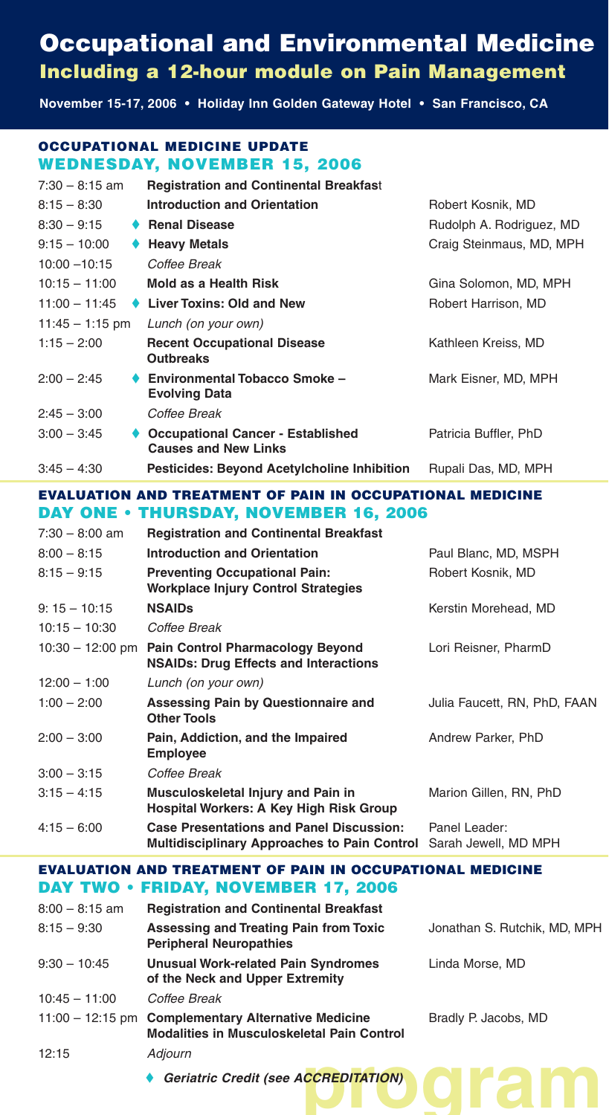### **Occupational and Environmental Medicine Including a 12-hour module on Pain Management**

**November 15-17, 2006 • Holiday Inn Golden Gateway Hotel • San Francisco, CA**

#### **OCCUPATIONAL MEDICINE UPDATE WEDNESDAY, NOVEMBER 15, 2006**

| $7:30 - 8:15$ am  | <b>Registration and Continental Breakfast</b>                           |                          |
|-------------------|-------------------------------------------------------------------------|--------------------------|
| $8:15 - 8:30$     | <b>Introduction and Orientation</b>                                     | Robert Kosnik, MD        |
| $8:30 - 9:15$     | <b>Renal Disease</b>                                                    | Rudolph A. Rodriguez, MD |
| $9:15 - 10:00$    | <b>Heavy Metals</b>                                                     | Craig Steinmaus, MD, MPH |
| $10:00 - 10:15$   | Coffee Break                                                            |                          |
| $10:15 - 11:00$   | Mold as a Health Risk                                                   | Gina Solomon, MD, MPH    |
| $11:00 - 11:45$   | <b>Liver Toxins: Old and New</b>                                        | Robert Harrison, MD      |
| $11:45 - 1:15$ pm | Lunch (on your own)                                                     |                          |
| $1:15 - 2:00$     | <b>Recent Occupational Disease</b><br><b>Outbreaks</b>                  | Kathleen Kreiss, MD      |
| $2:00 - 2:45$     | <b>Environmental Tobacco Smoke -</b><br><b>Evolving Data</b>            | Mark Eisner, MD, MPH     |
| $2:45 - 3:00$     | Coffee Break                                                            |                          |
| $3:00 - 3:45$     | <b>Occupational Cancer - Established</b><br><b>Causes and New Links</b> | Patricia Buffler, PhD    |
| $3:45 - 4:30$     | <b>Pesticides: Beyond Acetylcholine Inhibition</b>                      | Rupali Das, MD, MPH      |

#### **EVALUATION AND TREATMENT OF PAIN IN OCCUPATIONAL MEDICINE DAY ONE • THURSDAY, NOVEMBER 16, 2006**

| $7:30 - 8:00$ am   | <b>Registration and Continental Breakfast</b>                                                          |                                       |
|--------------------|--------------------------------------------------------------------------------------------------------|---------------------------------------|
| $8:00 - 8:15$      | <b>Introduction and Orientation</b>                                                                    | Paul Blanc, MD, MSPH                  |
| $8:15 - 9:15$      | <b>Preventing Occupational Pain:</b><br>Workplace Injury Control Strategies                            | Robert Kosnik, MD                     |
| $9:15 - 10:15$     | <b>NSAIDs</b>                                                                                          | Kerstin Morehead, MD                  |
| $10:15 - 10:30$    | Coffee Break                                                                                           |                                       |
| $10:30 - 12:00$ pm | <b>Pain Control Pharmacology Beyond</b><br><b>NSAIDs: Drug Effects and Interactions</b>                | Lori Reisner, PharmD                  |
| $12:00 - 1:00$     | Lunch (on your own)                                                                                    |                                       |
| $1:00 - 2:00$      | Assessing Pain by Questionnaire and<br><b>Other Tools</b>                                              | Julia Faucett, RN, PhD, FAAN          |
| $2:00 - 3:00$      | Pain, Addiction, and the Impaired<br><b>Employee</b>                                                   | Andrew Parker, PhD                    |
| $3:00 - 3:15$      | Coffee Break                                                                                           |                                       |
| $3:15 - 4:15$      | Musculoskeletal Injury and Pain in<br>Hospital Workers: A Key High Risk Group                          | Marion Gillen, RN, PhD                |
| $4:15 - 6:00$      | <b>Case Presentations and Panel Discussion:</b><br><b>Multidisciplinary Approaches to Pain Control</b> | Panel Leader:<br>Sarah Jewell, MD MPH |

#### **EVALUATION AND TREATMENT OF PAIN IN OCCUPATIONAL MEDICINE DAY TWO • FRIDAY, NOVEMBER 17, 2006**

| $8:00 - 8:15$ am   | <b>Registration and Continental Breakfast</b>                                                  |                              |
|--------------------|------------------------------------------------------------------------------------------------|------------------------------|
| $8:15 - 9:30$      | Assessing and Treating Pain from Toxic<br><b>Peripheral Neuropathies</b>                       | Jonathan S. Rutchik, MD, MPH |
| $9:30 - 10:45$     | <b>Unusual Work-related Pain Syndromes</b><br>of the Neck and Upper Extremity                  | Linda Morse, MD              |
| $10:45 - 11:00$    | Coffee Break                                                                                   |                              |
| $11:00 - 12:15$ pm | <b>Complementary Alternative Medicine</b><br><b>Modalities in Musculoskeletal Pain Control</b> | Bradly P. Jacobs, MD         |
| 12:15              | Adjourn                                                                                        |                              |
|                    | Geriatric Credit (see ACCREDITATION)                                                           |                              |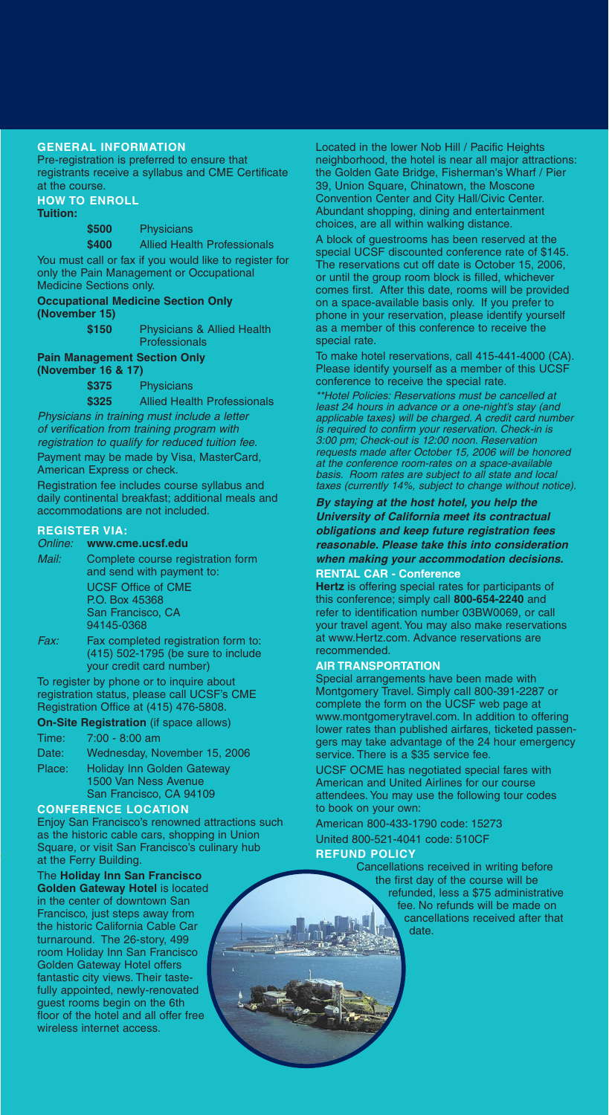#### **GENERAL INFORMATION**

Pre-registration is preferred to ensure that registrants receive a syllabus and CME Certificate at the course.

**HOW TO ENROLL Tuition:**

**\$500** Physicians

**\$400** Allied Health Professionals You must call or fax if you would like to register for only the Pain Management or Occupational

Medicine Sections only. **Occupational Medicine Section Only** 

**(November 15)**

**\$150** Physicians & Allied Health **Professionals** 

#### **Pain Management Section Only (November 16 & 17)**

**\$375** Physicians

**\$325** Allied Health Professionals Physicians in training must include a letter of verification from training program with

registration to qualify for reduced tuition fee. Payment may be made by Visa, MasterCard,

American Express or check.

Registration fee includes course syllabus and daily continental breakfast; additional meals and accommodations are not included.

#### **REGISTER VIA:**

#### Online: **www.cme.ucsf.edu**

- Mail: Complete course registration form and send with payment to: UCSF Office of CME P.O. Box 45368 San Francisco, CA 94145-0368
- Fax: Fax completed registration form to: (415) 502-1795 (be sure to include your credit card number)

To register by phone or to inquire about registration status, please call UCSF's CME Registration Office at (415) 476-5808.

**On-Site Registration** (if space allows)

### Time: 7:00 - 8:00 am

| Date:  | Wednesday, November 15, 2006      |
|--------|-----------------------------------|
| Place: | <b>Holiday Inn Golden Gateway</b> |
|        | 1500 Van Ness Avenue              |
|        | San Francisco, CA 94109           |
|        |                                   |

#### **CONFERENCE LOCATION**

Enjoy San Francisco's renowned attractions such as the historic cable cars, shopping in Union Square, or visit San Francisco's culinary hub at the Ferry Building.

The **Holiday Inn San Francisco Golden Gateway Hotel** is located in the center of downtown San Francisco, just steps away from the historic California Cable Car turnaround. The 26-story, 499 room Holiday Inn San Francisco Golden Gateway Hotel offers fantastic city views. Their tastefully appointed, newly-renovated guest rooms begin on the 6th floor of the hotel and all offer free wireless internet access.

Located in the lower Nob Hill / Pacific Heights neighborhood, the hotel is near all major attractions: the Golden Gate Bridge, Fisherman's Wharf / Pier 39, Union Square, Chinatown, the Moscone Convention Center and City Hall/Civic Center. Abundant shopping, dining and entertainment choices, are all within walking distance.

A block of guestrooms has been reserved at the special UCSF discounted conference rate of \$145. The reservations cut off date is October 15, 2006, or until the group room block is filled, whichever comes first. After this date, rooms will be provided on a space-available basis only. If you prefer to phone in your reservation, please identify yourself as a member of this conference to receive the special rate.

To make hotel reservations, call 415-441-4000 (CA). Please identify yourself as a member of this UCSF conference to receive the special rate.

\*\*Hotel Policies: Reservations must be cancelled at least 24 hours in advance or a one-night's stay (and applicable taxes) will be charged. A credit card number is required to confirm your reservation. Check-in is 3:00 pm; Check-out is 12:00 noon. Reservation requests made after October 15, 2006 will be honored at the conference room-rates on a space-available basis. Room rates are subject to all state and local taxes (currently 14%, subject to change without notice).

#### **By staying at the host hotel, you help the University of California meet its contractual obligations and keep future registration fees reasonable. Please take this into consideration when making your accommodation decisions. RENTAL CAR - Conference**

## **Hertz** is offering special rates for participants of

this conference; simply call **800-654-2240** and refer to identification number 03BW0069, or call your travel agent. You may also make reservations at www.Hertz.com. Advance reservations are recommended.

#### **AIR TRANSPORTATION**

Special arrangements have been made with Montgomery Travel. Simply call 800-391-2287 or complete the form on the UCSF web page at www.montgomerytravel.com. In addition to offering lower rates than published airfares, ticketed passengers may take advantage of the 24 hour emergency service. There is a \$35 service fee.

UCSF OCME has negotiated special fares with American and United Airlines for our course attendees. You may use the following tour codes to book on your own:

American 800-433-1790 code: 15273 United 800-521-4041 code: 510CF

#### **REFUND POLICY**

Cancellations received in writing before the first day of the course will be refunded, less a \$75 administrative fee. No refunds will be made on cancellations received after that date.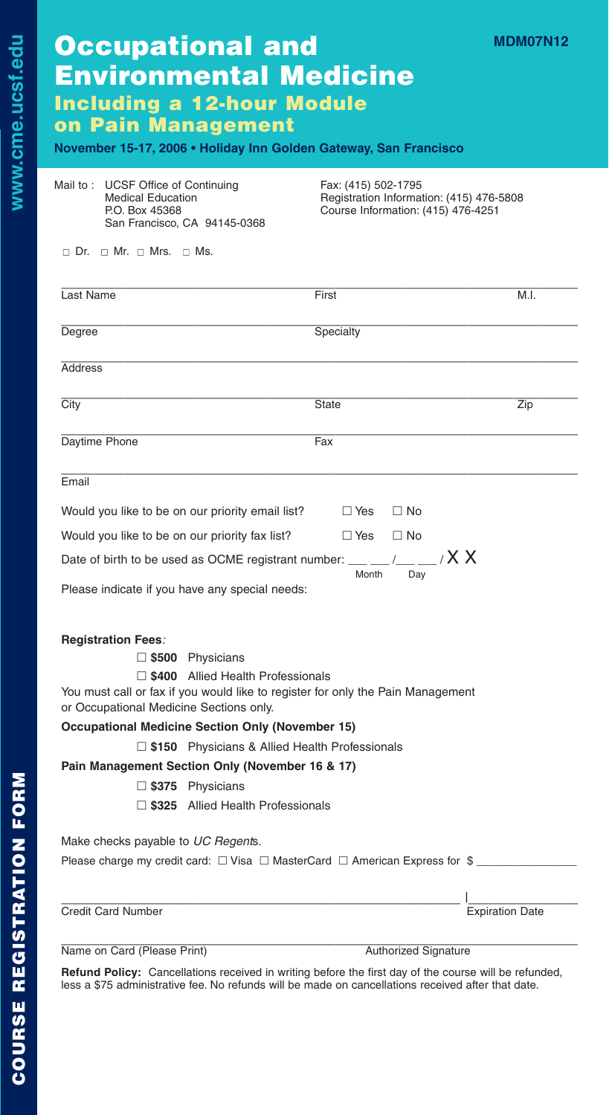| <b>Occupational and</b>           |  |
|-----------------------------------|--|
| <b>Environmental Medicine</b>     |  |
| <b>Including a 12-hour Module</b> |  |
| on Pain Management                |  |

#### **November 15-17, 2006 • Holiday Inn Golden Gateway, San Francisco**

| Mail to: UCSF Office of Continuing |
|------------------------------------|
| <b>Medical Education</b>           |
| P.O. Box 45368                     |
| San Francisco, CA 94145-0368       |
|                                    |

Fax: (415) 502-1795 Registration Information: (415) 476-5808 Course Information: (415) 476-4251

**MDM07N12**

 $\Box$  Dr.  $\Box$  Mr.  $\Box$  Mrs.  $\Box$  Ms.

| Last Name                                                                                                                                                      | First                      | M.I.                   |
|----------------------------------------------------------------------------------------------------------------------------------------------------------------|----------------------------|------------------------|
| Degree                                                                                                                                                         | Specialty                  |                        |
| Address                                                                                                                                                        |                            |                        |
| City                                                                                                                                                           | <b>State</b>               | Zip                    |
| Daytime Phone                                                                                                                                                  | Fax                        |                        |
| Email                                                                                                                                                          |                            |                        |
| Would you like to be on our priority email list?                                                                                                               | $\Box$ No<br>$\Box$ Yes    |                        |
| Would you like to be on our priority fax list?                                                                                                                 | $\Box$ Yes<br>$\Box$ No    |                        |
| Date of birth to be used as OCME registrant number: ___ __ /__ _                                                                                               | $X \times$<br>Month<br>Dav |                        |
| Please indicate if you have any special needs:                                                                                                                 |                            |                        |
| <b>Registration Fees:</b>                                                                                                                                      |                            |                        |
| $\square$ \$500 Physicians                                                                                                                                     |                            |                        |
| 5400 Allied Health Professionals<br>You must call or fax if you would like to register for only the Pain Management<br>or Occupational Medicine Sections only. |                            |                        |
| <b>Occupational Medicine Section Only (November 15)</b>                                                                                                        |                            |                        |
| $\Box$ \$150 Physicians & Allied Health Professionals                                                                                                          |                            |                        |
| Pain Management Section Only (November 16 & 17)                                                                                                                |                            |                        |
| $\Box$ \$375 Physicians                                                                                                                                        |                            |                        |
| $\Box$ \$325 Allied Health Professionals                                                                                                                       |                            |                        |
| Make checks payable to UC Regents.                                                                                                                             |                            |                        |
| Please charge my credit card: $\Box$ Visa $\Box$ MasterCard $\Box$ American Express for \$                                                                     |                            |                        |
| <b>Credit Card Number</b>                                                                                                                                      |                            | <b>Expiration Date</b> |
|                                                                                                                                                                |                            |                        |

| Name on Card (Please Print) | <b>Authorized Signature</b> |
|-----------------------------|-----------------------------|

**Refund Policy:** Cancellations received in writing before the first day of the course will be refunded, less a \$75 administrative fee. No refunds will be made on cancellations received after that date.